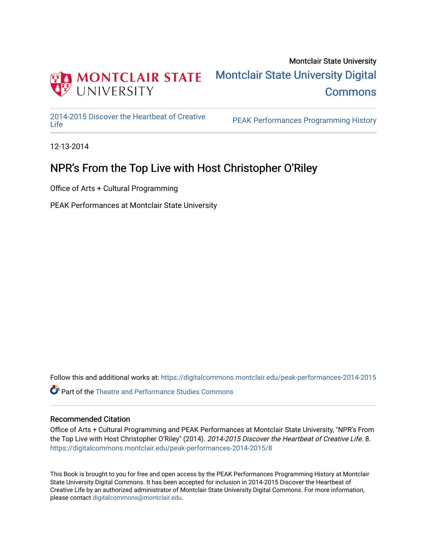

### Montclair State University [Montclair State University Digital](https://digitalcommons.montclair.edu/)  **Commons**

[2014-2015 Discover the Heartbeat of Creative](https://digitalcommons.montclair.edu/peak-performances-2014-2015) 

PEAK Performances Programming History

12-13-2014

### NPR's From the Top Live with Host Christopher O'Riley

Office of Arts + Cultural Programming

PEAK Performances at Montclair State University

Follow this and additional works at: [https://digitalcommons.montclair.edu/peak-performances-2014-2015](https://digitalcommons.montclair.edu/peak-performances-2014-2015?utm_source=digitalcommons.montclair.edu%2Fpeak-performances-2014-2015%2F8&utm_medium=PDF&utm_campaign=PDFCoverPages) 

**C** Part of the Theatre and Performance Studies Commons

### Recommended Citation

Office of Arts + Cultural Programming and PEAK Performances at Montclair State University, "NPR's From the Top Live with Host Christopher O'Riley" (2014). 2014-2015 Discover the Heartbeat of Creative Life. 8. [https://digitalcommons.montclair.edu/peak-performances-2014-2015/8](https://digitalcommons.montclair.edu/peak-performances-2014-2015/8?utm_source=digitalcommons.montclair.edu%2Fpeak-performances-2014-2015%2F8&utm_medium=PDF&utm_campaign=PDFCoverPages) 

This Book is brought to you for free and open access by the PEAK Performances Programming History at Montclair State University Digital Commons. It has been accepted for inclusion in 2014-2015 Discover the Heartbeat of Creative Life by an authorized administrator of Montclair State University Digital Commons. For more information, please contact [digitalcommons@montclair.edu.](mailto:digitalcommons@montclair.edu)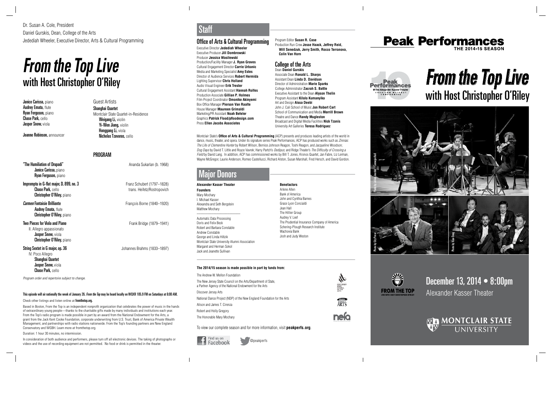December 13, 2014 • 8:00pm Alexander Kasser Theater



# **From the Top Live** with Host Christopher O'Riley



Q









### Office of Arts & Cultural Programming

Executive Director **Jedediah Wheeler** Executive Producer **Jill Dombrowski** Producer **Jessica Wasilewski** Production/Facility Manager **J. Ryan Graves** Cultural Engagement Director **Carrie Urbanic** Media and Marketing Specialist **Amy Estes** Director of Audience Services **Robert Hermida** Lighting Supervisor **Chris Holland** Audio Visual Engineer **Erik Trester** Cultural Engagement Assistant **Hannah Rolfes**  Production Associate **Gillian P. Holmes**  Film Project Coordinator **Omonike Akinyemi** Box Office Manager **Pierson Van Raalte** House Manager **Maureen Grimaldi** Marketing/PR Assistant **Noah Befeler** Graphics **Patrick Flood/pfloodesign.com** Press **Ellen Jacobs Associates**

Montclair State's **Office of Arts & Cultural Programming** (ACP) presents and produces leading artists of the world in dance, music, theater, and opera. Under its signature series Peak Performances, ACP has produced works such as Zinnias: The Life of Clementine Hunter by Robert Wilson, Bernice Johnson Reagon, Toshi Reagon, and Jacqueline Woodson; Dog Days by David T. Little and Royce Vavrek; Harry Partch's Oedipus; and Ridge Theater's The Difficulty of Crossing a Field by David Lang. In addition, ACP has commissioned works by Bill T. Jones, Kronos Quartet, Jan Fabre, Liz Lerman, Wayne McGregor, Laurie Anderson, Romeo Castellucci, Richard Alston, Susan Marshall, Fred Hersch, and David Gordon.

### Vlaior Donors

@peakperfs

## Staff

**Alexander Kasser Theater Founders** Mary Mochary I. Michael Kasser Alexandra and Seth Bergstein Matthew Mochary

\_\_\_\_\_\_\_\_\_\_\_\_\_\_\_\_\_\_\_\_\_\_\_\_

Automatic Data Processing Doris and Felix Beck Robert and Barbara Constable Andrew Constable George and Linda Hiltzik Montclair State University Alumni Association Margaret and Herman Sokol Jack and Jeanette Sullivan

**Benefactors** Arlene Allen Bank of America John and Cynthia Barnes Grace Lyon Concialdi Jean Hall The Hillier Group Audrey V. Leef The Prudential Insurance Company of America Schering-Plough Research Institute Wachovia Bank Josh and Judy Weston

"The Humiliation of Drupadi" **Ananda Sukarlan (b. 1968)** Ananda Sukarlan (b. 1968) Janice Carissa, piano Ryan Ferguson, piano

Impromptu in G-flat major, D. 899, no. 3 Franz Schubert (1797–1828) Chase Park, cello trans. Heifetz/Rostropovich Christopher O'Riley, piano

**Carmen Fantaisie Brilliante** François Borne (1840–1920) **Audrey Emata, flute** Christopher O'Riley, piano

**Two Pieces for Viola and Piano** Frank Bridge (1879–1941) II. Allegro appassionato Jasper Snow, viola Christopher O'Riley, piano

String Sextet in G major, op. 36 **String Sextet in G major, op. 36** Johannes Brahms (1833–1897)

#### **The 2014/15 season is made possible in part by funds from:**

| The Andrew W. Mellon Foundation                                                                                          |                                            |
|--------------------------------------------------------------------------------------------------------------------------|--------------------------------------------|
| The New Jersey State Council on the Arts/Department of State.<br>a Partner Agency of the National Endowment for the Arts | state<br>Council<br>ON THE<br><b>AFITS</b> |
| Discover Jersey Arts                                                                                                     |                                            |
| National Dance Project (NDP) of the New England Foundation for the Arts                                                  |                                            |
| Alison and James T. Cirenza                                                                                              |                                            |
| Robert and Holly Gregory                                                                                                 |                                            |
| The Honorable Mary Mochary                                                                                               |                                            |

To view our complete season and for more information, visit **peakperfs.org**.



Program Editor **Susan R. Case** Production Run Crew **Jesse Haack, Jeffrey Reid, Will Senedzuk, Jerry Smith, Rocco Terranova, Colin Van Horn**

#### College of the Arts Dean **Daniel Gurskis**

Associate Dean **Ronald L. Sharps** Assistant Dean **Linda D. Davidson** Director of Administration **Marie Sparks** College Administrator **Zacrah S. Battle** Executive Assistant to the Dean **Alyson Thelin** Program Assistant **Kilolo Kumanyika** Art and Design **Aissa Deebi** John J. Cali School of Music **Jon Robert Cart** School of Communication and Media **Merrill Brown** Theatre and Dance **Randy Mugleston** Broadcast and Digital Media Facilities **Nick Tzanis** University Art Galleries **Teresa Rodriguez**

Duration: 1 hour 30 minutes, no intermission.

In consideration of both audience and performers, please turn off all electronic devices. The taking of photographs or videos and the use of recording equipment are not permitted. No food or drink is permitted in the theater.

## **From the Top Live** with Host Christopher O'Riley

Janice Carissa, piano **Audrey Emata, flute Ryan Ferguson, piano** Chase Park, cello Jasper Snow, viola

Joanne Robinson, announcer

Guest Artists Shanghai Quartet Montclair State Quartet-in-Residence Weigang Li, violin Yi-Wen Jiang, violin Honggang Li, viola Nicholas Tzavaras, cello

### PROGRAM

IV. Poco Allegro Shanghai Quartet Jasper Snow, viola Chase Park, cello

Program order and repertoire subject to change.

### This episode will air nationally the week of January 26. From the Top may be heard locally on WQXR 105.9 FM on Saturdays at 6:00 AM.

Check other listings and listen online at **fromthetop.org.** 

Based in Boston, From the Top is an independent nonprofit organization that celebrates the power of music in the hands of extraordinary young people—thanks to the charitable gifts made by many individuals and institutions each year. From the Top's radio program is made possible in part by an award from the National Endowment for the Arts, a grant from the Jack Kent Cooke Foundation, corporate underwriting from U.S. Trust, Bank of America Private Wealth Management, and partnerships with radio stations nationwide. From the Top's founding partners are New England Conservatory and WGBH. Learn more at fromthetop.org.